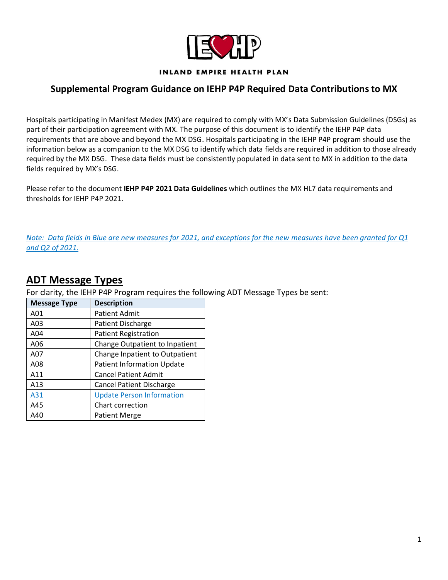

#### **INLAND EMPIRE HEALTH PLAN**

#### **Supplemental Program Guidance on IEHP P4P Required Data Contributions to MX**

Hospitals participating in Manifest Medex (MX) are required to comply with MX's Data Submission Guidelines (DSGs) as part of their participation agreement with MX. The purpose of this document is to identify the IEHP P4P data requirements that are above and beyond the MX DSG. Hospitals participating in the IEHP P4P program should use the information below as a companion to the MX DSG to identify which data fields are required in addition to those already required by the MX DSG. These data fields must be consistently populated in data sent to MX in addition to the data fields required by MX's DSG.

Please refer to the document **IEHP P4P 2021 Data Guidelines** which outlines the MX HL7 data requirements and thresholds for IEHP P4P 2021.

*Note: Data fields in Blue are new measures for 2021, and exceptions for the new measures have been granted for Q1 and Q2 of 2021.*

### **ADT Message Types**

For clarity, the IEHP P4P Program requires the following ADT Message Types be sent:

|            | <b>Message Type</b> | <b>Description</b>                |  |  |  |
|------------|---------------------|-----------------------------------|--|--|--|
|            | A01                 | <b>Patient Admit</b>              |  |  |  |
|            | A03                 | Patient Discharge                 |  |  |  |
|            | A04                 | <b>Patient Registration</b>       |  |  |  |
|            | A06                 | Change Outpatient to Inpatient    |  |  |  |
|            | A07                 | Change Inpatient to Outpatient    |  |  |  |
|            | A08                 | <b>Patient Information Update</b> |  |  |  |
|            | A11                 | <b>Cancel Patient Admit</b>       |  |  |  |
|            | A13                 | <b>Cancel Patient Discharge</b>   |  |  |  |
| A31<br>A45 |                     | <b>Update Person Information</b>  |  |  |  |
|            |                     | Chart correction                  |  |  |  |
|            | A40                 | <b>Patient Merge</b>              |  |  |  |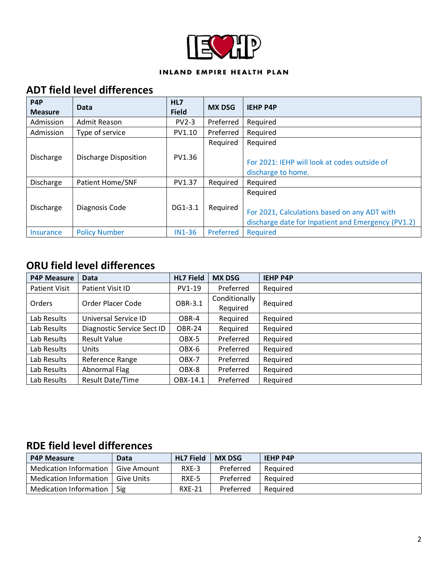

#### INLAND EMPIRE HEALTH PLAN

### **ADT field level differences**

| P <sub>4</sub> P<br><b>Measure</b> | Data                         | HL7<br><b>Field</b> | <b>MX DSG</b> | <b>IEHP P4P</b>                                                                                                |
|------------------------------------|------------------------------|---------------------|---------------|----------------------------------------------------------------------------------------------------------------|
| Admission                          | Admit Reason                 | $PV2-3$             | Preferred     | Required                                                                                                       |
| Admission                          | Type of service              | PV1.10              | Preferred     | Required                                                                                                       |
| Discharge                          | <b>Discharge Disposition</b> | PV1.36              | Required      | Required<br>For 2021: IEHP will look at codes outside of                                                       |
|                                    |                              |                     |               | discharge to home.                                                                                             |
| Discharge                          | Patient Home/SNF             | PV1.37              | Required      | Required                                                                                                       |
| Discharge                          | Diagnosis Code               | DG1-3.1             | Required      | Required<br>For 2021, Calculations based on any ADT with<br>discharge date for Inpatient and Emergency (PV1.2) |
| Insurance                          | <b>Policy Number</b>         | <b>IN1-36</b>       | Preferred     | Required                                                                                                       |

### **ORU field level differences**

| <b>P4P Measure</b>   | Data                       | <b>HL7 Field</b> | <b>MX DSG</b> | <b>IEHP P4P</b> |
|----------------------|----------------------------|------------------|---------------|-----------------|
| <b>Patient Visit</b> | Patient Visit ID           | PV1-19           | Preferred     | Required        |
| Orders               | Order Placer Code          | OBR-3.1          | Conditionally | Required        |
|                      |                            |                  | Required      |                 |
| Lab Results          | Universal Service ID       | OBR-4            | Required      | Required        |
| Lab Results          | Diagnostic Service Sect ID | <b>OBR-24</b>    | Required      | Required        |
| Lab Results          | <b>Result Value</b>        | OBX-5            | Preferred     | Required        |
| Lab Results          | <b>Units</b>               | OBX-6            | Preferred     | Required        |
| Lab Results          | Reference Range            | OBX-7            | Preferred     | Required        |
| Lab Results          | Abnormal Flag              | OBX-8            | Preferred     | Required        |
| Lab Results          | <b>Result Date/Time</b>    | OBX-14.1         | Preferred     | Required        |

# **RDE field level differences**

| <b>P4P Measure</b>     | Data        | <b>HL7 Field</b> | <b>MX DSG</b> | <b>IEHP P4P</b> |
|------------------------|-------------|------------------|---------------|-----------------|
| Medication Information | Give Amount | RXE-3            | Preferred     | Reauired        |
| Medication Information | Give Units  | RXE-5            | Preferred     | Reauired        |
| Medication Information | Sig         | <b>RXE-21</b>    | Preferred     | Reauired        |